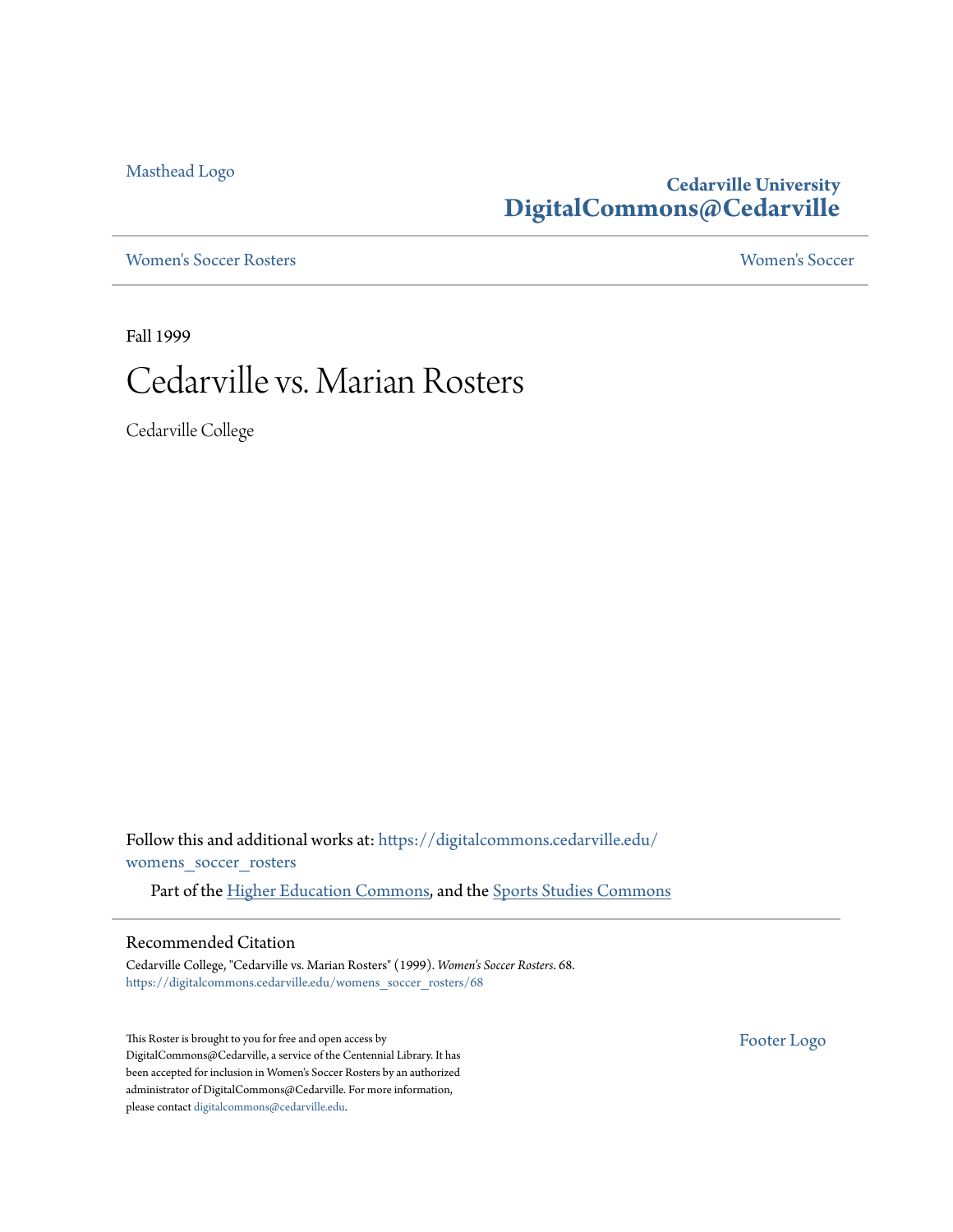[Masthead Logo](http://www.cedarville.edu/?utm_source=digitalcommons.cedarville.edu%2Fwomens_soccer_rosters%2F68&utm_medium=PDF&utm_campaign=PDFCoverPages)

### **Cedarville University [DigitalCommons@Cedarville](https://digitalcommons.cedarville.edu?utm_source=digitalcommons.cedarville.edu%2Fwomens_soccer_rosters%2F68&utm_medium=PDF&utm_campaign=PDFCoverPages)**

[Women's Soccer Rosters](https://digitalcommons.cedarville.edu/womens_soccer_rosters?utm_source=digitalcommons.cedarville.edu%2Fwomens_soccer_rosters%2F68&utm_medium=PDF&utm_campaign=PDFCoverPages) [Women's Soccer](https://digitalcommons.cedarville.edu/womens_soccer?utm_source=digitalcommons.cedarville.edu%2Fwomens_soccer_rosters%2F68&utm_medium=PDF&utm_campaign=PDFCoverPages)

Fall 1999

# Cedarville vs. Marian Rosters

Cedarville College

Follow this and additional works at: [https://digitalcommons.cedarville.edu/](https://digitalcommons.cedarville.edu/womens_soccer_rosters?utm_source=digitalcommons.cedarville.edu%2Fwomens_soccer_rosters%2F68&utm_medium=PDF&utm_campaign=PDFCoverPages) [womens\\_soccer\\_rosters](https://digitalcommons.cedarville.edu/womens_soccer_rosters?utm_source=digitalcommons.cedarville.edu%2Fwomens_soccer_rosters%2F68&utm_medium=PDF&utm_campaign=PDFCoverPages)

Part of the [Higher Education Commons](http://network.bepress.com/hgg/discipline/1245?utm_source=digitalcommons.cedarville.edu%2Fwomens_soccer_rosters%2F68&utm_medium=PDF&utm_campaign=PDFCoverPages), and the [Sports Studies Commons](http://network.bepress.com/hgg/discipline/1198?utm_source=digitalcommons.cedarville.edu%2Fwomens_soccer_rosters%2F68&utm_medium=PDF&utm_campaign=PDFCoverPages)

#### Recommended Citation

Cedarville College, "Cedarville vs. Marian Rosters" (1999). *Women's Soccer Rosters*. 68. [https://digitalcommons.cedarville.edu/womens\\_soccer\\_rosters/68](https://digitalcommons.cedarville.edu/womens_soccer_rosters/68?utm_source=digitalcommons.cedarville.edu%2Fwomens_soccer_rosters%2F68&utm_medium=PDF&utm_campaign=PDFCoverPages)

This Roster is brought to you for free and open access by DigitalCommons@Cedarville, a service of the Centennial Library. It has been accepted for inclusion in Women's Soccer Rosters by an authorized administrator of DigitalCommons@Cedarville. For more information, please contact [digitalcommons@cedarville.edu.](mailto:digitalcommons@cedarville.edu)

[Footer Logo](http://www.cedarville.edu/Academics/Library.aspx?utm_source=digitalcommons.cedarville.edu%2Fwomens_soccer_rosters%2F68&utm_medium=PDF&utm_campaign=PDFCoverPages)